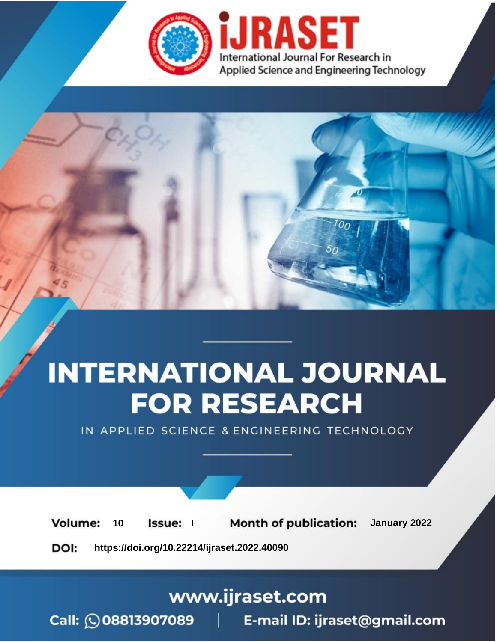

# **INTERNATIONAL JOURNAL FOR RESEARCH**

IN APPLIED SCIENCE & ENGINEERING TECHNOLOGY

**Month of publication:** January 2022 **Volume:** 10 **Issue:** I

DOI: https://doi.org/10.22214/ijraset.2022.40090

www.ijraset.com

 $Call: \bigcirc$ 08813907089 E-mail ID: ijraset@gmail.com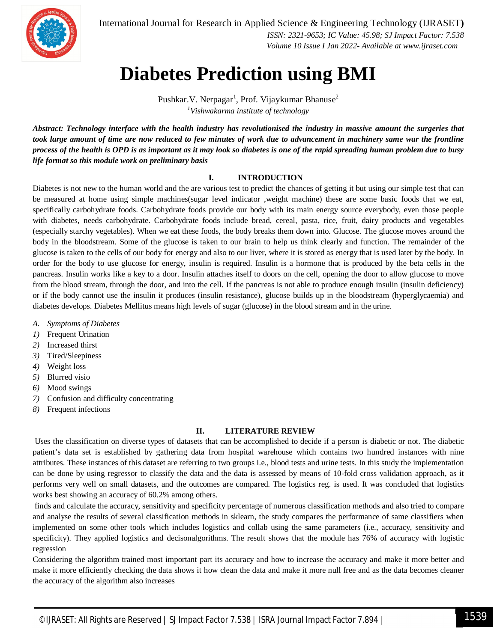

International Journal for Research in Applied Science & Engineering Technology (IJRASET**)**

 *ISSN: 2321-9653; IC Value: 45.98; SJ Impact Factor: 7.538 Volume 10 Issue I Jan 2022- Available at www.ijraset.com*

### **Diabetes Prediction using BMI**

Pushkar.V. Nerpagar<sup>1</sup>, Prof. Vijaykumar Bhanuse<sup>2</sup> *<sup>1</sup>Vishwakarma institute of technology*

*Abstract: Technology interface with the health industry has revolutionised the industry in massive amount the surgeries that took large amount of time are now reduced to few minutes of work due to advancement in machinery same war the frontline process of the health is OPD is as important as it may look so diabetes is one of the rapid spreading human problem due to busy life format so this module work on preliminary basis*

#### **I. INTRODUCTION**

Diabetes is not new to the human world and the are various test to predict the chances of getting it but using our simple test that can be measured at home using simple machines(sugar level indicator ,weight machine) these are some basic foods that we eat, specifically carbohydrate foods. Carbohydrate foods provide our body with its main energy source everybody, even those people with diabetes, needs carbohydrate. Carbohydrate foods include bread, cereal, pasta, rice, fruit, dairy products and vegetables (especially starchy vegetables). When we eat these foods, the body breaks them down into. Glucose. The glucose moves around the body in the bloodstream. Some of the glucose is taken to our brain to help us think clearly and function. The remainder of the glucose is taken to the cells of our body for energy and also to our liver, where it is stored as energy that is used later by the body. In order for the body to use glucose for energy, insulin is required. Insulin is a hormone that is produced by the beta cells in the pancreas. Insulin works like a key to a door. Insulin attaches itself to doors on the cell, opening the door to allow glucose to move from the blood stream, through the door, and into the cell. If the pancreas is not able to produce enough insulin (insulin deficiency) or if the body cannot use the insulin it produces (insulin resistance), glucose builds up in the bloodstream (hyperglycaemia) and diabetes develops. Diabetes Mellitus means high levels of sugar (glucose) in the blood stream and in the urine.

- *A. Symptoms of Diabetes*
- *1)* Frequent Urination
- *2)* Increased thirst
- *3)* Tired/Sleepiness
- *4)* Weight loss
- *5)* Blurred visio
- *6)* Mood swings
- *7)* Confusion and difficulty concentrating
- *8)* Frequent infections

#### **II. LITERATURE REVIEW**

Uses the classification on diverse types of datasets that can be accomplished to decide if a person is diabetic or not. The diabetic patient's data set is established by gathering data from hospital warehouse which contains two hundred instances with nine attributes. These instances of this dataset are referring to two groups i.e., blood tests and urine tests. In this study the implementation can be done by using regressor to classify the data and the data is assessed by means of 10-fold cross validation approach, as it performs very well on small datasets, and the outcomes are compared. The logistics reg. is used. It was concluded that logistics works best showing an accuracy of 60.2% among others.

finds and calculate the accuracy, sensitivity and specificity percentage of numerous classification methods and also tried to compare and analyse the results of several classification methods in sklearn, the study compares the performance of same classifiers when implemented on some other tools which includes logistics and collab using the same parameters (i.e., accuracy, sensitivity and specificity). They applied logistics and decisonalgorithms. The result shows that the module has 76% of accuracy with logistic regression

Considering the algorithm trained most important part its accuracy and how to increase the accuracy and make it more better and make it more efficiently checking the data shows it how clean the data and make it more null free and as the data becomes cleaner the accuracy of the algorithm also increases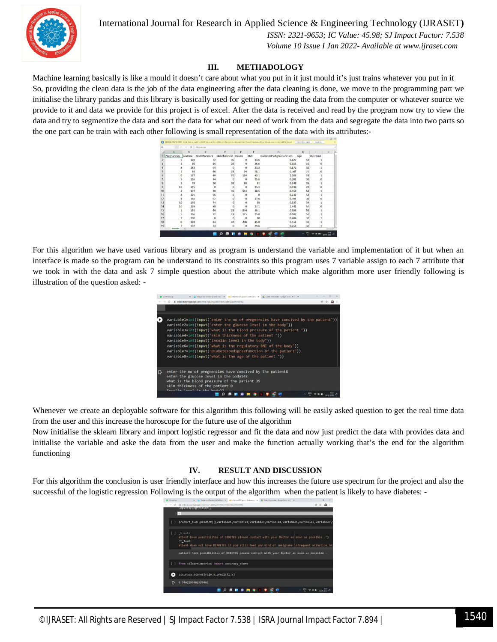

#### International Journal for Research in Applied Science & Engineering Technology (IJRASET**)**

 *ISSN: 2321-9653; IC Value: 45.98; SJ Impact Factor: 7.538 Volume 10 Issue I Jan 2022- Available at www.ijraset.com*

#### **III. METHADOLOGY**

Machine learning basically is like a mould it doesn't care about what you put in it just mould it's just trains whatever you put in it So, providing the clean data is the job of the data engineering after the data cleaning is done, we move to the programming part we initialise the library pandas and this library is basically used for getting or reading the data from the computer or whatever source we provide to it and data we provide for this project is of excel. After the data is received and read by the program now try to view the data and try to segmentize the data and sort the data for what our need of work from the data and segregate the data into two parts so the one part can be train with each other following is small representation of the data with its attributes:-

| A1             |                | ħ          | Pregnancies   |                       |          |         |                          |                           |                                      |            |
|----------------|----------------|------------|---------------|-----------------------|----------|---------|--------------------------|---------------------------|--------------------------------------|------------|
|                |                | B          | $\mathbb{C}$  | D                     | F        | F       | G                        | H                         |                                      |            |
|                | Pregnancies    | Glucose    | BloodPressure | SkinThickness Insulin |          | BMI     | DiabetesPedigreeFunction | Age                       | Outcome                              |            |
| $\overline{c}$ |                | 148        | 72            | 35                    | $\Omega$ | 33.6    | 0.627                    | 50                        |                                      |            |
| 3              |                | 85         | 66            | 29                    | ٥        | 26.6    | 0.351                    | 31                        |                                      |            |
| 4              | 8              | 183        | 64            | $\Omega$              | $\Omega$ | 23.3    | 0.672                    | 32                        |                                      |            |
| 5              |                | 89         | 66            | 23                    | 94       | 28.1    | 0.167                    | 21                        |                                      |            |
| 6              | $\circ$        | 137        | 40            | 35                    | 168      | 43.1    | 2.288                    | 33                        |                                      |            |
| $\overline{7}$ | 5              | 116        | 74            | $\Omega$              | ö        | 25.6    | 0.201                    | 30                        |                                      |            |
| 8              | 3              | 78         | 50            | 32                    | 88       | 31      | 0.248                    | 26                        |                                      |            |
| $\overline{9}$ | 10             | 115        | $\Omega$      | $\mathbf{0}$          | $\circ$  | 35.3    | 0.134                    | 29                        |                                      |            |
| 10             | $\overline{c}$ | 197        | 70            | 45                    | 543      | 30.5    | 0.158                    | 53                        |                                      |            |
| 11             | 8              | 125        | 96            | D                     | 0        | $\circ$ | 0.232                    | 54                        |                                      |            |
| 12             | 4              | 110        | 92            | O.                    | $\Omega$ | 37.6    | 0.191                    | 30                        | n                                    |            |
| 13             | 10             | 168        | 74            | n                     | o        | 38      | 0.537                    | 34                        |                                      |            |
| 14             | 10             | 139        | 80            | $\Omega$              | $\Omega$ | 27.1    | 1.441                    | 57                        |                                      |            |
| 15             |                | 189        | 60            | 23                    | 846      | 30.1    | 0.398                    | 59                        |                                      |            |
| 16             | 5              | 166        | 72            | 19                    | 175      | 25.8    | 0.587                    | 51                        |                                      |            |
| 17             | 7              | 100        | $\mathbf{0}$  | $\Omega$              | $\Omega$ | 30      | 0.484                    | 32                        |                                      |            |
| 18             | o              | 118        | 84            | 47                    | 230      | 45.8    | 0.551                    | 31                        |                                      |            |
| 19             |                | 107        | 74            | $\Omega$              | $\Omega$ | 29.6    | 0.254                    | 31                        |                                      |            |
| 4.16           | disbetes       | $\sqrt{2}$ |               |                       |          |         | $\overline{1}$           |                           |                                      |            |
|                |                |            |               | Ø                     |          |         | <b>CP</b>                | $\frac{10}{12}$<br>$\sim$ | $\Leftrightarrow$ $\infty$ in $\sim$ | 56.00 3333 |

For this algorithm we have used various library and as program is understand the variable and implementation of it but when an interface is made so the program can be understand to its constraints so this program uses 7 variable assign to each 7 attribute that we took in with the data and ask 7 simple question about the attribute which make algorithm more user friendly following is illustration of the question asked: -

|   | X E- Plagarion Chedier   1003; Tree > X CD (Nichters Diriguno - Colobronto - X CD Coleb Notebooks - Goode Drive X   +<br>O ITIWhatshee                                                                                                                                                                                                                                                                                                                                                                                            |  |  |
|---|-----------------------------------------------------------------------------------------------------------------------------------------------------------------------------------------------------------------------------------------------------------------------------------------------------------------------------------------------------------------------------------------------------------------------------------------------------------------------------------------------------------------------------------|--|--|
|   | ii calab.research.google.com/cive/1qRj0ny/6dMAMzNS4dmSj6qsiMJrWNISj<br>c                                                                                                                                                                                                                                                                                                                                                                                                                                                          |  |  |
|   |                                                                                                                                                                                                                                                                                                                                                                                                                                                                                                                                   |  |  |
|   | variable1=int(input("enter the no of pregnencies have concived by the patient"))<br>variable2=int(input("enter the glucose level in the body"))<br>variable3=int(input("what is the blood pressure of the patient"))<br>variable4=int(input("skin thickness of the patient"))<br>variable5=int(input("Insulin level in the body"))<br>variable6=int(input("what is the regulatory BMI of the body"))<br>variable7=int(input("Diabetespedigreefunction of the patient"))<br>variable8=int(input("what is the age of the patient")) |  |  |
| ⊪ | enter the no of pregnencies have concived by the patient6<br>enter the glucose level in the body148<br>what is the blood pressure of the patient 35<br>skin thickness of the patient 0<br>$T_{\text{meas}}$ $14n - 1$ and $1 + 4n$ the hadis?                                                                                                                                                                                                                                                                                     |  |  |
|   |                                                                                                                                                                                                                                                                                                                                                                                                                                                                                                                                   |  |  |

Whenever we create an deployable software for this algorithm this following will be easily asked question to get the real time data from the user and this increase the horoscope for the future use of the algorithm

Now initialise the sklearn library and import logistic regressor and fit the data and now just predict the data with provides data and initialise the variable and aske the data from the user and make the function actually working that's the end for the algorithm functioning

#### **IV. RESULT AND DISCUSSION**

For this algorithm the conclusion is user friendly interface and how this increases the future use spectrum for the project and also the successful of the logistic regression Following is the output of the algorithm when the patient is likely to have diabetes: -

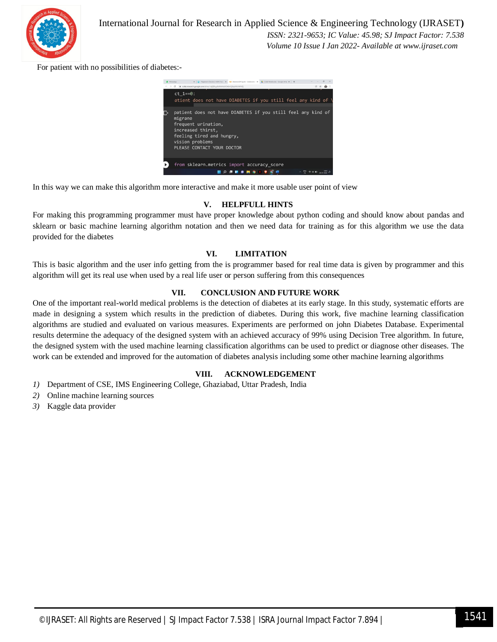

For patient with no possibilities of diabetes:-



In this way we can make this algorithm more interactive and make it more usable user point of view

#### **V. HELPFULL HINTS**

For making this programming programmer must have proper knowledge about python coding and should know about pandas and sklearn or basic machine learning algorithm notation and then we need data for training as for this algorithm we use the data provided for the diabetes

#### **VI. LIMITATION**

This is basic algorithm and the user info getting from the is programmer based for real time data is given by programmer and this algorithm will get its real use when used by a real life user or person suffering from this consequences

#### **VII. CONCLUSION AND FUTURE WORK**

One of the important real-world medical problems is the detection of diabetes at its early stage. In this study, systematic efforts are made in designing a system which results in the prediction of diabetes. During this work, five machine learning classification algorithms are studied and evaluated on various measures. Experiments are performed on john Diabetes Database. Experimental results determine the adequacy of the designed system with an achieved accuracy of 99% using Decision Tree algorithm. In future, the designed system with the used machine learning classification algorithms can be used to predict or diagnose other diseases. The work can be extended and improved for the automation of diabetes analysis including some other machine learning algorithms

#### **VIII. ACKNOWLEDGEMENT**

- *1)* Department of CSE, IMS Engineering College, Ghaziabad, Uttar Pradesh, India
- *2)* Online machine learning sources
- *3)* Kaggle data provider